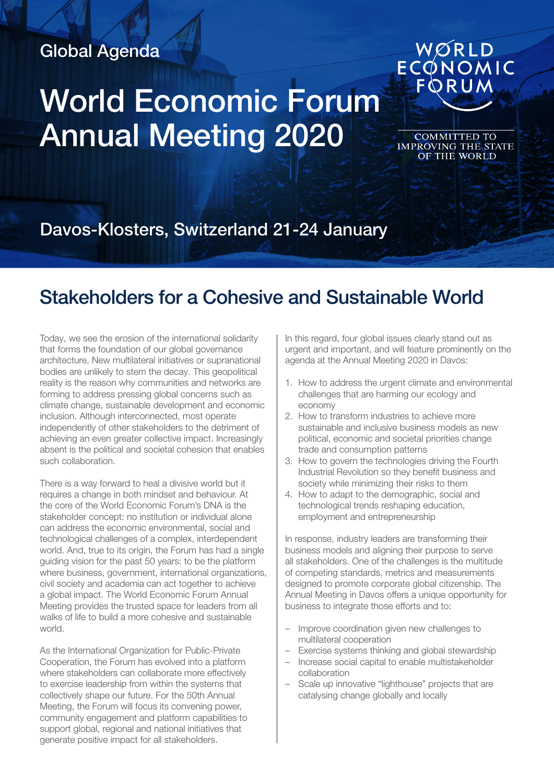## Global Agenda

## World Economic Forum Annual Meeting 2020

COMMITTED TO<br>IMPROVING THE STATE<br>OF THE WORLD

WØRLD<br>ECONOMIC<br>FORUM

Davos-Klosters, Switzerland 21-24 January

## Stakeholders for a Cohesive and Sustainable World

Today, we see the erosion of the international solidarity that forms the foundation of our global governance architecture. New multilateral initiatives or supranational bodies are unlikely to stem the decay. This geopolitical reality is the reason why communities and networks are forming to address pressing global concerns such as climate change, sustainable development and economic inclusion. Although interconnected, most operate independently of other stakeholders to the detriment of achieving an even greater collective impact. Increasingly absent is the political and societal cohesion that enables such collaboration.

There is a way forward to heal a divisive world but it requires a change in both mindset and behaviour. At the core of the World Economic Forum's DNA is the stakeholder concept: no institution or individual alone can address the economic environmental, social and technological challenges of a complex, interdependent world. And, true to its origin, the Forum has had a single guiding vision for the past 50 years: to be the platform where business, government, international organizations, civil society and academia can act together to achieve a global impact. The World Economic Forum Annual Meeting provides the trusted space for leaders from all walks of life to build a more cohesive and sustainable world.

As the International Organization for Public-Private Cooperation, the Forum has evolved into a platform where stakeholders can collaborate more effectively to exercise leadership from within the systems that collectively shape our future. For the 50th Annual Meeting, the Forum will focus its convening power, community engagement and platform capabilities to support global, regional and national initiatives that generate positive impact for all stakeholders.

In this regard, four global issues clearly stand out as urgent and important, and will feature prominently on the agenda at the Annual Meeting 2020 in Davos:

- 1. How to address the urgent climate and environmental challenges that are harming our ecology and economy
- 2. How to transform industries to achieve more sustainable and inclusive business models as new political, economic and societal priorities change trade and consumption patterns
- 3. How to govern the technologies driving the Fourth Industrial Revolution so they benefit business and society while minimizing their risks to them
- 4. How to adapt to the demographic, social and technological trends reshaping education, employment and entrepreneurship

In response, industry leaders are transforming their business models and aligning their purpose to serve all stakeholders. One of the challenges is the multitude of competing standards, metrics and measurements designed to promote corporate global citizenship. The Annual Meeting in Davos offers a unique opportunity for business to integrate those efforts and to:

- Improve coordination given new challenges to multilateral cooperation
- Exercise systems thinking and global stewardship
- Increase social capital to enable multistakeholder collaboration
- Scale up innovative "lighthouse" projects that are catalysing change globally and locally